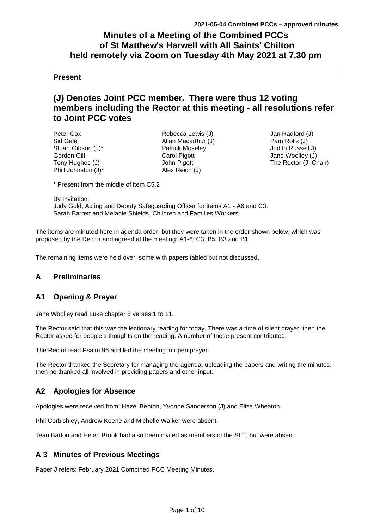# **Minutes of a Meeting of the Combined PCCs of St Matthew's Harwell with All Saints' Chilton held remotely via Zoom on Tuesday 4th May 2021 at 7.30 pm**

## **Present**

# **(J) Denotes Joint PCC member. There were thus 12 voting members including the Rector at this meeting - all resolutions refer to Joint PCC votes**

Peter Cox Sid Gale Stuart Gibson (J)\* Gordon Gill Tony Hughes (J) Phill Johnston (J)\*

Rebecca Lewis (J) Allan Macarthur (J) Patrick Moseley Carol Pigott John Pigott Alex Reich (J)

Jan Radford (J) Pam Rolls (J) Judith Russell J) Jane Woolley (J) The Rector (J, Chair)

\* Present from the middle of item C5.2

By Invitation:

Judy Gold, Acting and Deputy Safeguarding Officer for items A1 - A6 and C3. Sarah Barrett and Melanie Shields, Children and Families Workers

The items are minuted here in agenda order, but they were taken in the order shown below, which was proposed by the Rector and agreed at the meeting: A1-6; C3, B5, B3 and B1.

The remaining items were held over, some with papers tabled but not discussed.

## **A Preliminaries**

## **A1 Opening & Prayer**

Jane Woolley read Luke chapter 5 verses 1 to 11.

The Rector said that this was the lectionary reading for today. There was a time of silent prayer, then the Rector asked for people's thoughts on the reading. A number of those present contributed.

The Rector read Psalm 96 and led the meeting in open prayer.

The Rector thanked the Secretary for managing the agenda, uploading the papers and writing the minutes, then he thanked all involved in providing papers and other input.

## **A2 Apologies for Absence**

Apologies were received from: Hazel Benton, Yvonne Sanderson (J) and Eliza Wheaton.

Phil Corbishley, Andrew Keene and Michelle Walker were absent.

Jean Barton and Helen Brook had also been invited as members of the SLT, but were absent.

## **A 3 Minutes of Previous Meetings**

Paper J refers: February 2021 Combined PCC Meeting Minutes.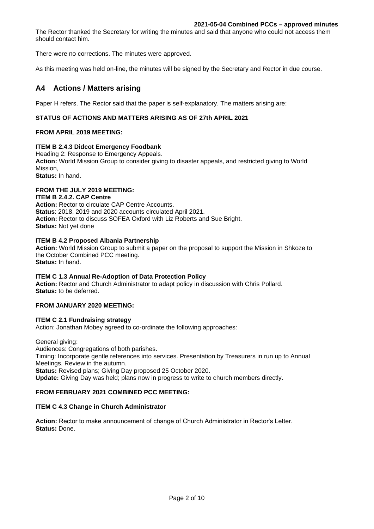The Rector thanked the Secretary for writing the minutes and said that anyone who could not access them should contact him.

There were no corrections. The minutes were approved.

As this meeting was held on-line, the minutes will be signed by the Secretary and Rector in due course.

## **A4 Actions / Matters arising**

Paper H refers. The Rector said that the paper is self-explanatory. The matters arising are:

### **STATUS OF ACTIONS AND MATTERS ARISING AS OF 27th APRIL 2021**

#### **FROM APRIL 2019 MEETING:**

#### **ITEM B 2.4.3 Didcot Emergency Foodbank**

Heading 2: Response to Emergency Appeals.

**Action:** World Mission Group to consider giving to disaster appeals, and restricted giving to World Mission,

**Status:** In hand.

## **FROM THE JULY 2019 MEETING:**

## **ITEM B 2.4.2. CAP Centre**

**Action:** Rector to circulate CAP Centre Accounts. **Status**: 2018, 2019 and 2020 accounts circulated April 2021. **Action:** Rector to discuss SOFEA Oxford with Liz Roberts and Sue Bright. **Status:** Not yet done

### **ITEM B 4.2 Proposed Albania Partnership**

**Action:** World Mission Group to submit a paper on the proposal to support the Mission in Shkoze to the October Combined PCC meeting. **Status:** In hand.

#### **ITEM C 1.3 Annual Re-Adoption of Data Protection Policy**

**Action:** Rector and Church Administrator to adapt policy in discussion with Chris Pollard. **Status:** to be deferred.

### **FROM JANUARY 2020 MEETING:**

#### **ITEM C 2.1 Fundraising strategy**

Action: Jonathan Mobey agreed to co-ordinate the following approaches:

General giving: Audiences: Congregations of both parishes. Timing: Incorporate gentle references into services. Presentation by Treasurers in run up to Annual Meetings. Review in the autumn. **Status:** Revised plans; Giving Day proposed 25 October 2020. **Update:** Giving Day was held; plans now in progress to write to church members directly.

#### **FROM FEBRUARY 2021 COMBINED PCC MEETING:**

#### **ITEM C 4.3 Change in Church Administrator**

**Action:** Rector to make announcement of change of Church Administrator in Rector's Letter. **Status:** Done.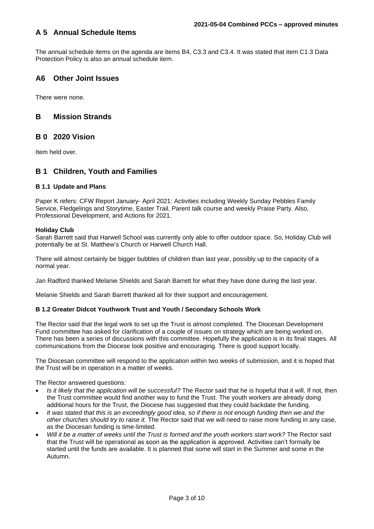## **A 5 Annual Schedule Items**

The annual schedule items on the agenda are items B4, C3.3 and C3.4. It was stated that item C1.3 Data Protection Policy is also an annual schedule item.

## **A6 Other Joint Issues**

There were none.

## **B Mission Strands**

## **B 0 2020 Vision**

Item held over.

## **B 1 Children, Youth and Families**

### **B 1.1 Update and Plans**

Paper K refers: CFW Report January- April 2021: Activities including Weekly Sunday Pebbles Family Service, Fledgelings and Storytime, Easter Trail, Parent talk course and weekly Praise Party. Also, Professional Development, and Actions for 2021.

#### **Holiday Club**

Sarah Barrett said that Harwell School was currently only able to offer outdoor space. So, Holiday Club will potentially be at St. Matthew's Church or Harwell Church Hall.

There will almost certainly be bigger bubbles of children than last year, possibly up to the capacity of a normal year.

Jan Radford thanked Melanie Shields and Sarah Barrett for what they have done during the last year.

Melanie Shields and Sarah Barrett thanked all for their support and encouragement.

## **B 1.2 Greater Didcot Youthwork Trust and Youth / Secondary Schools Work**

The Rector said that the legal work to set up the Trust is almost completed. The Diocesan Development Fund committee has asked for clarification of a couple of issues on strategy which are being worked on. There has been a series of discussions with this committee. Hopefully the application is in its final stages. All communications from the Diocese look positive and encouraging. There is good support locally.

The Diocesan committee will respond to the application within two weeks of submission, and it is hoped that the Trust will be in operation in a matter of weeks.

The Rector answered questions:

- *Is it likely that the application will be successful?* The Rector said that he is hopeful that it will. If not, then the Trust committee would find another way to fund the Trust. The youth workers are already doing additional hours for the Trust, the Diocese has suggested that they could backdate the funding.
- *It was stated that this is an exceedingly good idea, so if there is not enough funding then we and the other churches should try to raise it.* The Rector said that we will need to raise more funding in any case, as the Diocesan funding is time-limited.
- *Will it be a matter of weeks until the Trust is formed and the youth workers start work?* The Rector said that the Trust will be operational as soon as the application is approved. Activities can't formally be started until the funds are available. It is planned that some will start in the Summer and some in the Autumn.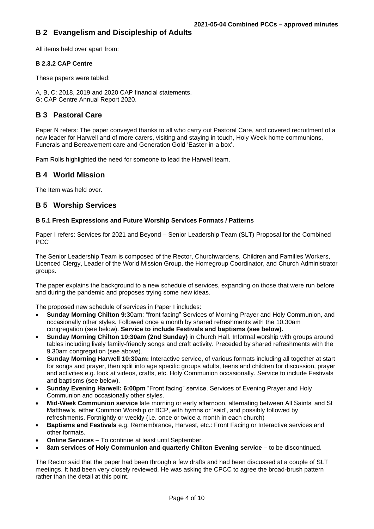## **B 2 Evangelism and Discipleship of Adults**

All items held over apart from:

## **B 2.3.2 CAP Centre**

These papers were tabled:

A, B, C: 2018, 2019 and 2020 CAP financial statements. G: CAP Centre Annual Report 2020.

## **B 3 Pastoral Care**

Paper N refers: The paper conveyed thanks to all who carry out Pastoral Care, and covered recruitment of a new leader for Harwell and of more carers, visiting and staying in touch, Holy Week home communions, Funerals and Bereavement care and Generation Gold 'Easter-in-a box'.

Pam Rolls highlighted the need for someone to lead the Harwell team.

## **B 4 World Mission**

The Item was held over.

## **B 5 Worship Services**

### **B 5.1 Fresh Expressions and Future Worship Services Formats / Patterns**

Paper I refers: Services for 2021 and Beyond – Senior Leadership Team (SLT) Proposal for the Combined **PCC** 

The Senior Leadership Team is composed of the Rector, Churchwardens, Children and Families Workers, Licenced Clergy, Leader of the World Mission Group, the Homegroup Coordinator, and Church Administrator groups.

The paper explains the background to a new schedule of services, expanding on those that were run before and during the pandemic and proposes trying some new ideas.

The proposed new schedule of services in Paper I includes:

- **Sunday Morning Chilton 9:**30am: "front facing" Services of Morning Prayer and Holy Communion, and occasionally other styles. Followed once a month by shared refreshments with the 10.30am congregation (see below). **Service to include Festivals and baptisms (see below).**
- **Sunday Morning Chilton 10:30am (2nd Sunday)** in Church Hall. Informal worship with groups around tables including lively family-friendly songs and craft activity. Preceded by shared refreshments with the 9.30am congregation (see above).
- **Sunday Morning Harwell 10:30am:** Interactive service, of various formats including all together at start for songs and prayer, then split into age specific groups adults, teens and children for discussion, prayer and activities e.g. look at videos, crafts, etc. Holy Communion occasionally. Service to include Festivals and baptisms (see below).
- **Sunday Evening Harwell: 6:00pm** "Front facing" service. Services of Evening Prayer and Holy Communion and occasionally other styles.
- **Mid-Week Communion service** late morning or early afternoon, alternating between All Saints' and St Matthew's, either Common Worship or BCP, with hymns or 'said', and possibly followed by refreshments. Fortnightly or weekly (i.e. once or twice a month in each church)
- **Baptisms and Festivals** e.g. Remembrance, Harvest, etc.: Front Facing or Interactive services and other formats.
- **Online Services** To continue at least until September.
- **8am services of Holy Communion and quarterly Chilton Evening service** to be discontinued.

The Rector said that the paper had been through a few drafts and had been discussed at a couple of SLT meetings. It had been very closely reviewed. He was asking the CPCC to agree the broad-brush pattern rather than the detail at this point.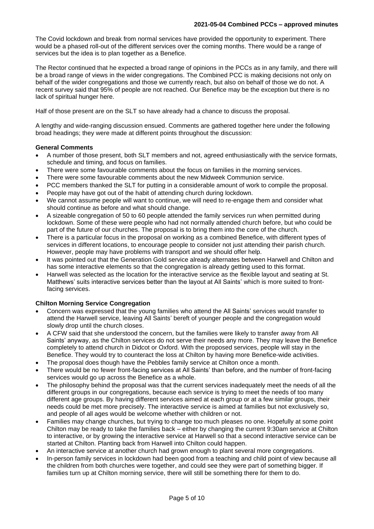The Covid lockdown and break from normal services have provided the opportunity to experiment. There would be a phased roll-out of the different services over the coming months. There would be a range of services but the idea is to plan together as a Benefice.

The Rector continued that he expected a broad range of opinions in the PCCs as in any family, and there will be a broad range of views in the wider congregations. The Combined PCC is making decisions not only on behalf of the wider congregations and those we currently reach, but also on behalf of those we do not. A recent survey said that 95% of people are not reached. Our Benefice may be the exception but there is no lack of spiritual hunger here.

Half of those present are on the SLT so have already had a chance to discuss the proposal.

A lengthy and wide-ranging discussion ensued. Comments are gathered together here under the following broad headings; they were made at different points throughout the discussion:

### **General Comments**

- A number of those present, both SLT members and not, agreed enthusiastically with the service formats, schedule and timing, and focus on families.
- There were some favourable comments about the focus on families in the morning services.
- There were some favourable comments about the new Midweek Communion service.
- PCC members thanked the SLT for putting in a considerable amount of work to compile the proposal.
- People may have got out of the habit of attending church during lockdown.
- We cannot assume people will want to continue, we will need to re-engage them and consider what should continue as before and what should change.
- A sizeable congregation of 50 to 60 people attended the family services run when permitted during lockdown. Some of these were people who had not normally attended church before, but who could be part of the future of our churches. The proposal is to bring them into the core of the church.
- There is a particular focus in the proposal on working as a combined Benefice, with different types of services in different locations, to encourage people to consider not just attending their parish church. However, people may have problems with transport and we should offer help.
- It was pointed out that the Generation Gold service already alternates between Harwell and Chilton and has some interactive elements so that the congregation is already getting used to this format.
- Harwell was selected as the location for the interactive service as the flexible layout and seating at St. Matthews' suits interactive services better than the layout at All Saints' which is more suited to frontfacing services.

### **Chilton Morning Service Congregation**

- Concern was expressed that the young families who attend the All Saints' services would transfer to attend the Harwell service, leaving All Saints' bereft of younger people and the congregation would slowly drop until the church closes.
- A CFW said that she understood the concern, but the families were likely to transfer away from All Saints' anyway, as the Chilton services do not serve their needs any more. They may leave the Benefice completely to attend church in Didcot or Oxford. With the proposed services, people will stay in the Benefice. They would try to counteract the loss at Chilton by having more Benefice-wide activities.
- The proposal does though have the Pebbles family service at Chilton once a month.
- There would be no fewer front-facing services at All Saints' than before, and the number of front-facing services would go up across the Benefice as a whole.
- The philosophy behind the proposal was that the current services inadequately meet the needs of all the different groups in our congregations, because each service is trying to meet the needs of too many different age groups. By having different services aimed at each group or at a few similar groups, their needs could be met more precisely. The interactive service is aimed at families but not exclusively so, and people of all ages would be welcome whether with children or not.
- Families may change churches, but trying to change too much pleases no one. Hopefully at some point Chilton may be ready to take the families back – either by changing the current 9:30am service at Chilton to interactive, or by growing the interactive service at Harwell so that a second interactive service can be started at Chilton. Planting back from Harwell into Chilton could happen.
- An interactive service at another church had grown enough to plant several more congregations.
- In-person family services in lockdown had been good from a teaching and child point of view because all the children from both churches were together, and could see they were part of something bigger. If families turn up at Chilton morning service, there will still be something there for them to do.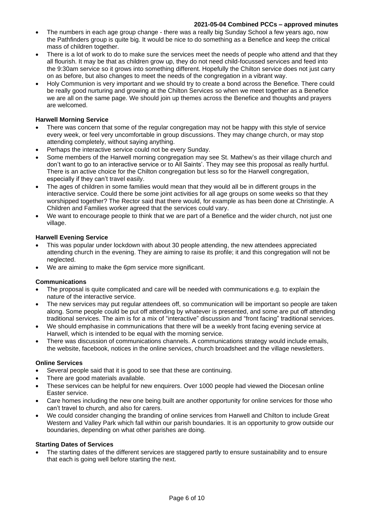- The numbers in each age group change there was a really big Sunday School a few years ago, now the Pathfinders group is quite big. It would be nice to do something as a Benefice and keep the critical mass of children together.
- There is a lot of work to do to make sure the services meet the needs of people who attend and that they all flourish. It may be that as children grow up, they do not need child-focussed services and feed into the 9:30am service so it grows into something different. Hopefully the Chilton service does not just carry on as before, but also changes to meet the needs of the congregation in a vibrant way.
- Holy Communion is very important and we should try to create a bond across the Benefice. There could be really good nurturing and growing at the Chilton Services so when we meet together as a Benefice we are all on the same page. We should join up themes across the Benefice and thoughts and prayers are welcomed.

### **Harwell Morning Service**

- There was concern that some of the regular congregation may not be happy with this style of service every week, or feel very uncomfortable in group discussions. They may change church, or may stop attending completely, without saying anything.
- Perhaps the interactive service could not be every Sunday.
- Some members of the Harwell morning congregation may see St. Mathew's as their village church and don't want to go to an interactive service or to All Saints'. They may see this proposal as really hurtful. There is an active choice for the Chilton congregation but less so for the Harwell congregation, especially if they can't travel easily.
- The ages of children in some families would mean that they would all be in different groups in the interactive service. Could there be some joint activities for all age groups on some weeks so that they worshipped together? The Rector said that there would, for example as has been done at Christingle. A Children and Families worker agreed that the services could vary.
- We want to encourage people to think that we are part of a Benefice and the wider church, not just one village.

#### **Harwell Evening Service**

- This was popular under lockdown with about 30 people attending, the new attendees appreciated attending church in the evening. They are aiming to raise its profile; it and this congregation will not be neglected.
- We are aiming to make the 6pm service more significant.

#### **Communications**

- The proposal is quite complicated and care will be needed with communications e.g. to explain the nature of the interactive service.
- The new services may put regular attendees off, so communication will be important so people are taken along. Some people could be put off attending by whatever is presented, and some are put off attending traditional services. The aim is for a mix of "interactive" discussion and "front facing" traditional services.
- We should emphasise in communications that there will be a weekly front facing evening service at Harwell, which is intended to be equal with the morning service.
- There was discussion of communications channels. A communications strategy would include emails, the website, facebook, notices in the online services, church broadsheet and the village newsletters.

#### **Online Services**

- Several people said that it is good to see that these are continuing.
- There are good materials available.
- These services can be helpful for new enquirers. Over 1000 people had viewed the Diocesan online Easter service.
- Care homes including the new one being built are another opportunity for online services for those who can't travel to church, and also for carers.
- We could consider changing the branding of online services from Harwell and Chilton to include Great Western and Valley Park which fall within our parish boundaries. It is an opportunity to grow outside our boundaries, depending on what other parishes are doing.

#### **Starting Dates of Services**

The starting dates of the different services are staggered partly to ensure sustainability and to ensure that each is going well before starting the next.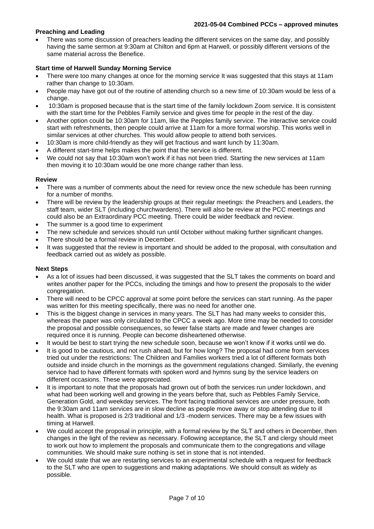## **Preaching and Leading**

There was some discussion of preachers leading the different services on the same day, and possibly having the same sermon at 9:30am at Chilton and 6pm at Harwell, or possibly different versions of the same material across the Benefice.

## **Start time of Harwell Sunday Morning Service**

- There were too many changes at once for the morning service It was suggested that this stays at 11am rather than change to 10:30am.
- People may have got out of the routine of attending church so a new time of 10:30am would be less of a change.
- 10:30am is proposed because that is the start time of the family lockdown Zoom service. It is consistent with the start time for the Pebbles Family service and gives time for people in the rest of the day.
- Another option could be 10:30am for 11am, like the Pepples family service. The interactive service could start with refreshments, then people could arrive at 11am for a more formal worship. This works well in similar services at other churches. This would allow people to attend both services.
- 10:30am is more child-friendly as they will get fractious and want lunch by 11:30am.
- A different start-time helps makes the point that the service is different.
- We could not say that 10:30am won't work if it has not been tried. Starting the new services at 11am then moving it to 10:30am would be one more change rather than less.

#### . **Review**

- There was a number of comments about the need for review once the new schedule has been running for a number of months.
- There will be review by the leadership groups at their regular meetings: the Preachers and Leaders, the staff team, wider SLT (including churchwardens). There will also be review at the PCC meetings and could also be an Extraordinary PCC meeting. There could be wider feedback and review.
- The summer is a good time to experiment
- The new schedule and services should run until October without making further significant changes.
- There should be a formal review in December.
- It was suggested that the review is important and should be added to the proposal, with consultation and feedback carried out as widely as possible.

### **Next Steps**

- As a lot of issues had been discussed, it was suggested that the SLT takes the comments on board and writes another paper for the PCCs, including the timings and how to present the proposals to the wider congregation.
- There will need to be CPCC approval at some point before the services can start running. As the paper was written for this meeting specifically, there was no need for another one.
- This is the biggest change in services in many years. The SLT has had many weeks to consider this, whereas the paper was only circulated to the CPCC a week ago. More time may be needed to consider the proposal and possible consequences, so fewer false starts are made and fewer changes are required once it is running. People can become disheartened otherwise.
- It would be best to start trying the new schedule soon, because we won't know if it works until we do.
- It is good to be cautious, and not rush ahead, but for how long? The proposal had come from services tried out under the restrictions: The Children and Families workers tried a lot of different formats both outside and inside church in the mornings as the government regulations changed. Similarly, the evening service had to have different formats with spoken word and hymns sung by the service leaders on different occasions. These were appreciated.
- It is important to note that the proposals had grown out of both the services run under lockdown, and what had been working well and growing in the years before that, such as Pebbles Family Service, Generation Gold, and weekday services. The front facing traditional services are under pressure, both the 9:30am and 11am services are in slow decline as people move away or stop attending due to ill health. What is proposed is 2/3 traditional and 1/3 -modern services. There may be a few issues with timing at Harwell.
- We could accept the proposal in principle, with a formal review by the SLT and others in December, then changes in the light of the review as necessary. Following acceptance, the SLT and clergy should meet to work out how to implement the proposals and communicate them to the congregations and village communities. We should make sure nothing is set in stone that is not intended.
- We could state that we are restarting services to an experimental schedule with a request for feedback to the SLT who are open to suggestions and making adaptations. We should consult as widely as possible.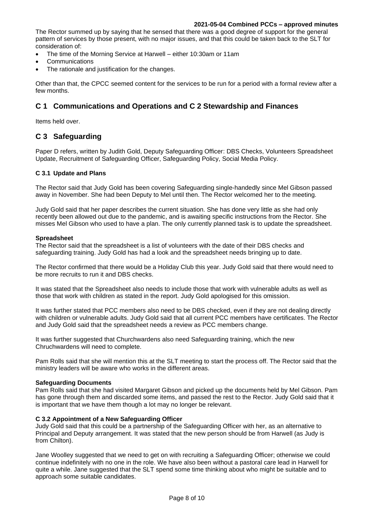The Rector summed up by saying that he sensed that there was a good degree of support for the general pattern of services by those present, with no major issues, and that this could be taken back to the SLT for consideration of:

- The time of the Morning Service at Harwell either 10:30am or 11am
- Communications
- The rationale and justification for the changes.

Other than that, the CPCC seemed content for the services to be run for a period with a formal review after a few months.

## **C 1 Communications and Operations and C 2 Stewardship and Finances**

Items held over.

## **C 3 Safeguarding**

Paper D refers, written by Judith Gold, Deputy Safeguarding Officer: DBS Checks, Volunteers Spreadsheet Update, Recruitment of Safeguarding Officer, Safeguarding Policy, Social Media Policy.

### **C 3.1 Update and Plans**

The Rector said that Judy Gold has been covering Safeguarding single-handedly since Mel Gibson passed away in November. She had been Deputy to Mel until then. The Rector welcomed her to the meeting.

Judy Gold said that her paper describes the current situation. She has done very little as she had only recently been allowed out due to the pandemic, and is awaiting specific instructions from the Rector. She misses Mel Gibson who used to have a plan. The only currently planned task is to update the spreadsheet.

#### **Spreadsheet**

The Rector said that the spreadsheet is a list of volunteers with the date of their DBS checks and safeguarding training. Judy Gold has had a look and the spreadsheet needs bringing up to date.

The Rector confirmed that there would be a Holiday Club this year. Judy Gold said that there would need to be more recruits to run it and DBS checks.

It was stated that the Spreadsheet also needs to include those that work with vulnerable adults as well as those that work with children as stated in the report. Judy Gold apologised for this omission.

It was further stated that PCC members also need to be DBS checked, even if they are not dealing directly with children or vulnerable adults. Judy Gold said that all current PCC members have certificates. The Rector and Judy Gold said that the spreadsheet needs a review as PCC members change.

It was further suggested that Churchwardens also need Safeguarding training, which the new Chruchwardens will need to complete.

Pam Rolls said that she will mention this at the SLT meeting to start the process off. The Rector said that the ministry leaders will be aware who works in the different areas.

#### **Safeguarding Documents**

Pam Rolls said that she had visited Margaret Gibson and picked up the documents held by Mel Gibson. Pam has gone through them and discarded some items, and passed the rest to the Rector. Judy Gold said that it is important that we have them though a lot may no longer be relevant.

#### **C 3.2 Appointment of a New Safeguarding Officer**

Judy Gold said that this could be a partnership of the Safeguarding Officer with her, as an alternative to Principal and Deputy arrangement. It was stated that the new person should be from Harwell (as Judy is from Chilton).

Jane Woolley suggested that we need to get on with recruiting a Safeguarding Officer; otherwise we could continue indefinitely with no one in the role. We have also been without a pastoral care lead in Harwell for quite a while. Jane suggested that the SLT spend some time thinking about who might be suitable and to approach some suitable candidates.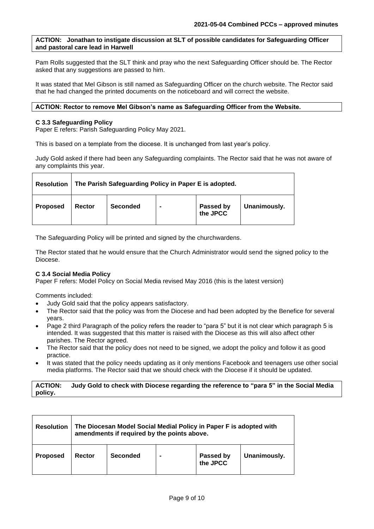### **ACTION: Jonathan to instigate discussion at SLT of possible candidates for Safeguarding Officer and pastoral care lead in Harwell**

Pam Rolls suggested that the SLT think and pray who the next Safeguarding Officer should be. The Rector asked that any suggestions are passed to him.

It was stated that Mel Gibson is still named as Safeguarding Officer on the church website. The Rector said that he had changed the printed documents on the noticeboard and will correct the website.

#### **ACTION: Rector to remove Mel Gibson's name as Safeguarding Officer from the Website.**

#### **C 3.3 Safeguarding Policy**

Paper E refers: Parish Safeguarding Policy May 2021.

This is based on a template from the diocese. It is unchanged from last year's policy.

Judy Gold asked if there had been any Safeguarding complaints. The Rector said that he was not aware of any complaints this year.

| <b>Resolution</b> | The Parish Safeguarding Policy in Paper E is adopted. |                 |  |                       |              |  |  |
|-------------------|-------------------------------------------------------|-----------------|--|-----------------------|--------------|--|--|
| <b>Proposed</b>   | Rector                                                | <b>Seconded</b> |  | Passed by<br>the JPCC | Unanimously. |  |  |

The Safeguarding Policy will be printed and signed by the churchwardens.

The Rector stated that he would ensure that the Church Administrator would send the signed policy to the Diocese.

### **C 3.4 Social Media Policy**

Paper F refers: Model Policy on Social Media revised May 2016 (this is the latest version)

Comments included:

- Judy Gold said that the policy appears satisfactory.
- The Rector said that the policy was from the Diocese and had been adopted by the Benefice for several years.
- Page 2 third Paragraph of the policy refers the reader to "para 5" but it is not clear which paragraph 5 is intended. It was suggested that this matter is raised with the Diocese as this will also affect other parishes. The Rector agreed.
- The Rector said that the policy does not need to be signed, we adopt the policy and follow it as good practice.
- It was stated that the policy needs updating as it only mentions Facebook and teenagers use other social media platforms. The Rector said that we should check with the Diocese if it should be updated.

#### **ACTION: Judy Gold to check with Diocese regarding the reference to "para 5" in the Social Media policy.**

| <b>Resolution</b> | The Diocesan Model Social Medial Policy in Paper F is adopted with<br>amendments if required by the points above. |                 |                |                       |              |  |  |
|-------------------|-------------------------------------------------------------------------------------------------------------------|-----------------|----------------|-----------------------|--------------|--|--|
| <b>Proposed</b>   | Rector                                                                                                            | <b>Seconded</b> | $\blacksquare$ | Passed by<br>the JPCC | Unanimously. |  |  |